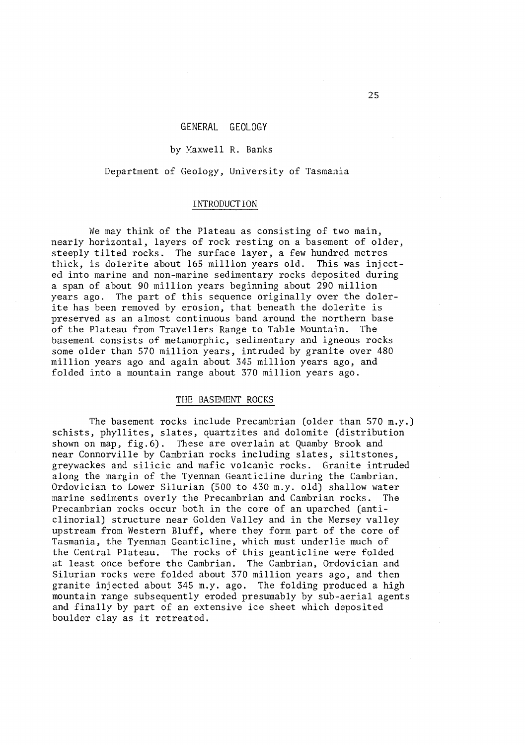# GENERAL GEOLOGY

## by Maxwell R. Banks

Department of Geology, University of Tasmania

# INTRODUCTION

We may think of the Plateau as consisting of two main, nearly horizontal, layers of rock resting on a basement of older, steeply tilted rocks. The surface layer, a few hundred metres thick, is dolerite about 165 million years old. This was injected into marine and non-marine sedimentary rocks deposited during a span of about 90 million years beginning about 290 million years ago. The part of this sequence originally over the dolerite has been removed by erosion, that beneath the dolerite is preserved as an almost continuous band around the northern base<br>of the Plateau from Travellers Range to Table Mountain. The of the Plateau from Travellers Range to Table Mountain. basement consists of metamorphic, sedimentary and igneous rocks some older than 570 million years, intruded by granite over 480 million years ago and again about 345 million years ago, and folded into a mountain range about 370 million years ago.

### THE BASEMENT ROCKS

The basement rocks include Precambrian (older than 570 m.y.) schists, phyllites, slates, quartzites and dolomite (distribution shown on map, fig. 6). These are overlain at Quamby Brook and near Connorville by Cambrian rocks including slates, siltstones, greywackes and silicic and mafic volcanic rocks. Granite intruded along the margin of the Tyennan Geanticline during the Cambrian. Ordovician to Lower Silurian (500 to 430 m.y. old) shallow water marine sediments overly the Precambrian and Cambrian rocks. The Precambrian rocks occur both in the core of an uparched (anticlinoria!) structure near Golden Valley and in the Mersey valley upstream from Western Bluff, where they form part of the core of Tasmania, the Tyennan Geanticline, which must underlie much of the Central Plateau. The rocks of this geanticline were folded at least once before the Cambrian. The Cambrian, Ordovician and Silurian rocks were folded about 370 million years ago, and then granite injected about 345 m.y. ago. The folding produced a high mountain range subsequently eroded presumably by sub-aerial agents and finally by part of an extensive ice sheet which deposited boulder clay as it retreated.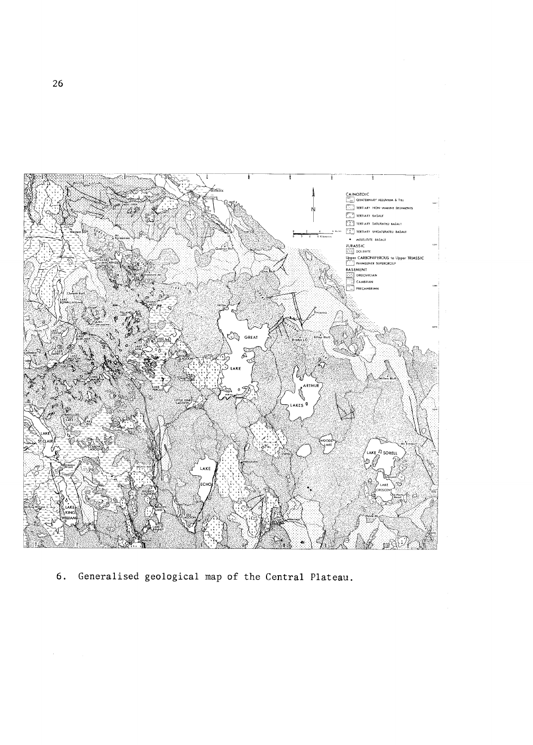

Generalised geological map of the Central Plateau.  $6.$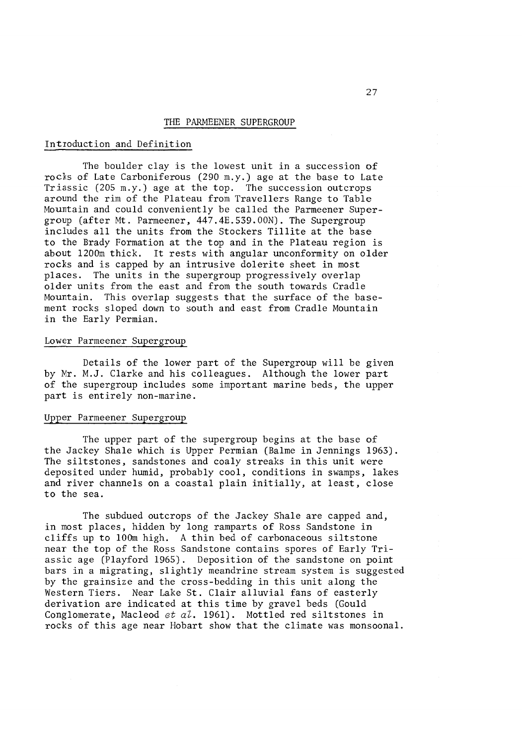#### THE PARMEENER SUPERGROUP

#### Intioduction and Definition

The boulder clay is the lowest unit in a succession of rocks of Late Carboniferous (290 m.y.) age at the base to Late Triassic (205 m.y.) age at the top. The succession outcrops around the rim of the Plateau from Travellers Range to Table Mountain and could conveniently be called the Parmeener Supergroup (after Mt. Parmeener, 447.4E.539.00N). The Supergroup includes all the units from the Stockers Tillite at the base to the Brady Formation at the top and in the Plateau region is about 1200m thick. It rests with angular unconformity on older rocks and is capped by an intrusive dolerite sheet in most places. The units in the supergroup progressively overlap older units from the east and from the south towards Cradle Mountain. This overlap suggests that the surface of the basement rocks sloped down to south and east from Cradle Mountain in the Early Permian.

# Lower Parmeener Supergroup

Details of the lower part of the Supergroup will be given by Mr. M.J. Clarke and his colleagues. Although the lower part of the supergroup includes some important marine beds, the upper part is entirely non-marine.

# Upper Parmeener Supergroup

The upper part of the supergroup begins at the base of the Jackey Shale which is Upper Permian (Balme in Jennings 1963). The siltstones, sandstones and coaly streaks in this unit were deposited under humid, probably cool, conditions in swamps, lakes and river channels on a coastal plain initially, at least, close to the sea.

The subdued outcrops of the Jackey Shale are capped and, in most places, hidden by long ramparts of Ross Sandstone in cliffs up to lOOm high. A thin bed of carbonaceous siltstone near the top of the Ross Sandstone contains spores of Early Triassic age (Playford 1965). Deposition of the sandstone on point bars in a migrating, slightly meandrine stream system is suggested by the grainsize and the cross-bedding in this unit along the Western Tiers. Near Lake St. Clair alluvial fans of easterly derivation are indicated at this time by gravel beds (Gould Conglomerate, Macleod *et al.* 1961). Mottled red siltstones in rocks of this age near Hobart show that the climate was monsoonal.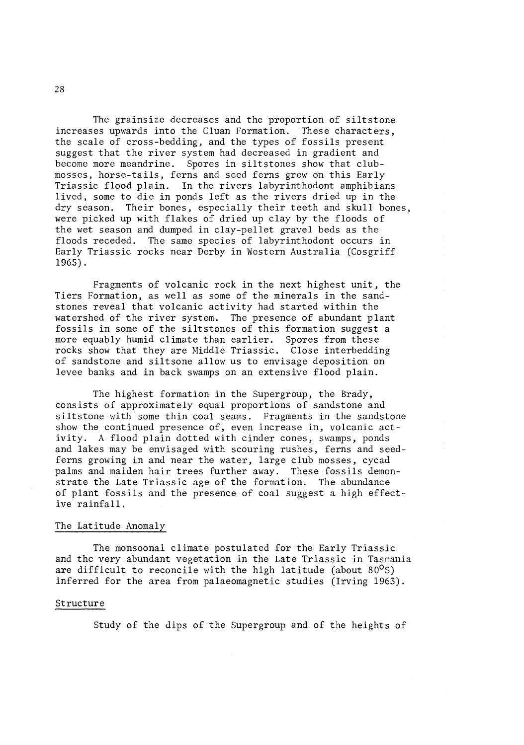The grainsize decreases and the proportion of siltstone increases upwards into the Cluan Formation. These characters, the scale of cross-bedding, and the types of fossils present suggest that the river system had decreased in gradient and become more meandrine. Spores in siltstones show that clubmosses, horse-tails, ferns and seed ferns grew on this Early Triassic flood plain. In the rivers labyrinthodont amphibians lived, some to die in ponds left as the rivers dried up in the dry season. Their bones, especially their teeth and skull bones, were picked up with flakes of dried up clay by the floods of the wet season and dumped in clay-pellet gravel beds as the floods receded. The same species of labyrinthodont occurs in Early Triassic rocks near Derby in Western Australia (Cosgriff 1965).

Fragments of volcanic rock in the next highest unit, the Tiers Formation, as well as some of the minerals in the sandstones reveal that volcanic activity had started within the. watershed of the river system. The presence of abundant plant fossils in some of the siltstones of this formation suggest a more equably humid climate than earlier. Spores from these rocks show that they are Middle Triassic. Close interbedding of sandstone and siltsone allow us to envisage deposition on levee banks and in back swamps on an extensive flood plain.

The highest formation in the Supergroup, the Brady, consists of approximately equal proportions of sandstone and siltstone with some thin coal seams. Fragments in the sandstone show the continued presence of, even increase in, volcanic activity. A flood plain dotted with cinder cones, swamps, ponds and lakes may be envisaged with scouring rushes, ferns and seedferns growing in and near the water, large club mosses, cycad palms and maiden hair trees further away. These fossils demonstrate the Late Triassic age of the formation. The abundance of plant fossils and the presence of coal suggest a high effective rainfall.

#### The Latitude Anomaly

The monsoonal climate postulated for the Early Triassic and the very abundant vegetation in the Late Triassic in Tasmania are difficult to reconcile with the high latitude (about  $80^{\circ}$ S) inferred for the area from palaeomagnetic studies (Irving 1963).

## Structure

Study of the dips of the Supergroup and of the heights of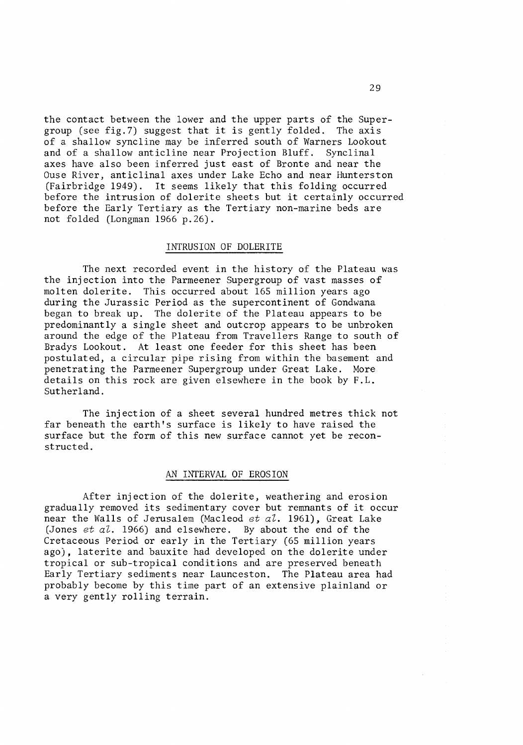the contact between the lower and the upper parts of the Supergroup (see fig.7) suggest that it is gently folded. The axis of a shallow syncline may be inferred south of Warners Lookout and of a shallow anticline near Projection Bluff. Synclinal axes have also been inferred just east of Bronte and near the Ouse River, anticlinal axes under Lake Echo and near Hunterston (Fairbridge 1949). It seems likely that this folding occurred before the intrusion of dolerite sheets but it certainly occurred before the Early Tertiary as the Tertiary non-marine beds are not folded (Longman 1966 p.26).

#### INTRUSION OF DOLERITE

The next recorded event in the history of the Plateau was the injection into the Parmeener Supergroup of vast masses of molten dolerite. This occurred about 165 million years ago during the Jurassic Period as the supercontinent of Gondwana began to break up. The dolerite of the Plateau appears to be predominantly a single sheet and outcrop appears to be unbroken around the edge of the Plateau from Travellers Range to south of Bradys Lookout. At least one feeder for this sheet has been postulated, a circular pipe rising from within the basement and penetrating the Parmeener Supergroup under Great Lake. More details on this rock are given elsewhere in the book by F.L. Sutherland.

The injection of a sheet several hundred metres thick not far beneath the earth's surface is likely to have raised the surface but the form of this new surface cannot yet be reconstructed.

#### AN INTERVAL OF EROSION

After injection of the dolerite, weathering and erosion gradually removed its sedimentary cover but remnants of it occur near the Walls of Jerusalem (Macleod *et aZ.* 1961), Great Lake (Jones *et aZ.* 1966) and elsewhere; By about the end of the Cretaceous Period or early in the Tertiary (65 million years ago), laterite and bauxite had developed on the dolerite under tropical or sub-tropical conditions and are preserved beneath Early Tertiary sediments near Launceston. The Plateau area had probably become by this time part of an extensive plainland or a very gently rolling terrain.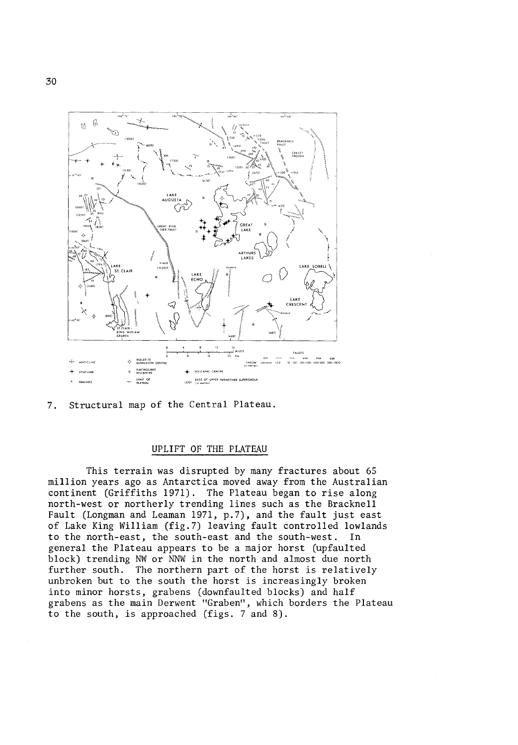

7. Structural map of the Central Plateau.

#### UPLIFT OF THE PLATEAU

This terrain was disrupted by many fractures about 65 million years ago as Antarctica moved away from the Australian continent (Griffiths 1971). The Plateau began to rise along north-west or northerly trending lines such as the Bracknell Fault (Longman and Leaman 1971, p.7), and the fault just east of Lake King William (fig.7) leaving fault controlled lowlands to the north-east, the south-east and the south-west. In general the Plateau appears to be a major horst (upfaulted block) trending NW or NNW in the north and almost due north further south. The northern part of the horst is relatively unbroken but to the south the horst is increasingly broken into minor horsts, grabens (downfaulted blocks) and half grabens as the main Derwent "Graben", which borders the Plateau to the south, is approached (figs. 7 and 8).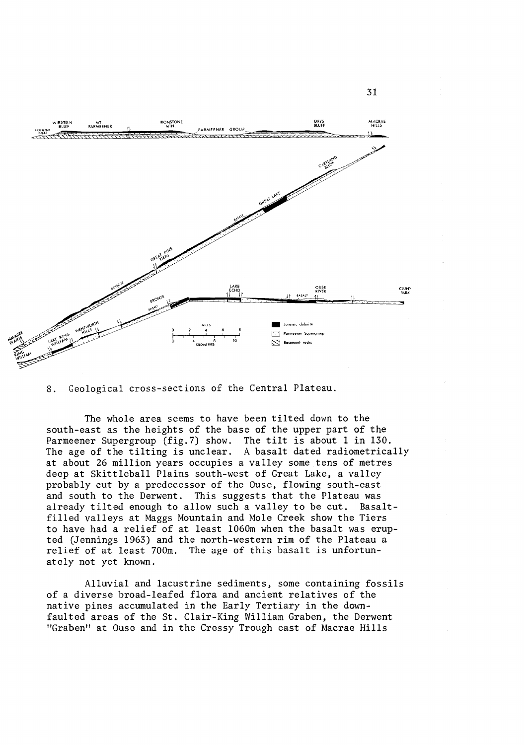

0 0. Geological cross-sections of the Central Plateau.

The whole area seems to have been tilted down to the south-east as the heights of the base of the upper part of the Parmeener Supergroup (fig.7) show. The tilt is about 1 in 130. The age of the tilting is unclear. A basalt dated radiometrically at about 26 million years occupies a valley some tens of metres deep at Skittleball Plains south-west of Great Lake, a valley probably cut by a predecessor of the Ouse, flowing south-east and south to the Derwent. This suggests that the Plateau was already tilted enough to allow such a valley to be cut. Basaltfilled valleys at Maggs Mountain and Mole Creek show the Tiers to have had a relief of at least 1060m when the basalt was erupted (Jennings 1963) and the north-western rim of the Plateau a relief of at least 700m. The age of this basalt is unfortunately not yet known.

Alluvial and lacustrine sediments, some containing fossils of a diverse broad-leafed flora and ancient relatives of the native pines accumulated in the Early Tertiary in the downfaulted areas of the St. Clair-King William Graben, the Derwent "Graben" at Ouse and in the Cressy Trough east of Macrae Hills

31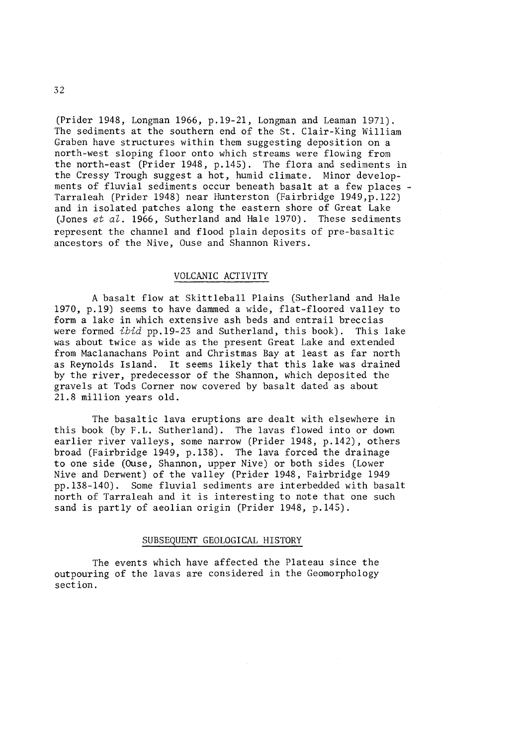(Prider 1948, Longman 1966, p.l9-21, Longman and Leaman 1971). The sediments at the southern end of the St. Clair-King William Graben have structures within them suggesting deposition on a north-west sloping floor onto which streams were flowing from the north-east (Prider 1948, p.l45). The flora and sediments in the Cressy Trough suggest a hot, humid climate. Minor developments of fluvial sediments occur beneath basalt at a few places -<br>Tarraleah (Prider 1948) near Hunterston (Fairbridge 1949,p.122) and in isolated patches along the eastern shore of Great Lake (Jones *et al.* 1966, Sutherland and Hale 1970). These sediments represent the channel and flood plain deposits of pre-basaltic ancestors of the Nive, Ouse and Shannon Rivers.

### VOLCANIC ACTIVITY

A basalt flow at Skittleball Plains (Sutherland and Hale 1970, p.l9) seems to have dammed a wide, flat-floored valley to form a lake in which extensive ash beds and entrail breccias were formed *ibid* pp.l9-23 and Sutherland, this book). This lake was about twice as wide as the present Great Lake and extended from Maclanachans Point and Christmas Bay at least as far north as Reynolds Island. It seems likely that this lake was drained by the river, predecessor of the Shannon, which deposited the gravels at Tods Corner now covered by basalt dated as about 21.8 million years old.

The basaltic lava eruptions are dealt with elsewhere in this book (by F.L. Sutherland). The lavas flowed into or down earlier river valleys, some narrow (Prider 1948, p.l42), others broad (Fairbridge 1949, p.l38). The lava forced the drainage to one side (Ouse, Shannon, upper Nive) or both sides (Lower Nive and Derwent) of the valley (Prider 1948, Fairbridge 1949 pp.l38-140). Some fluvial sediments are interbedded with basalt north of Tarraleah and it is interesting to note that one such sand is partly of aeolian origin (Prider 1948, p.145).

## SUBSEQUENT GEOLOGICAL HISTORY

The events which have affected the Plateau since the outpouring of the lavas are considered in the Geomorphology section.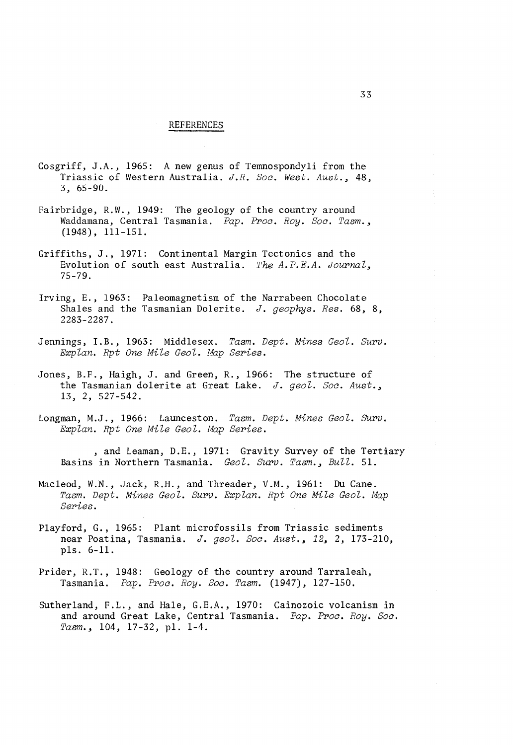### REFERENCES

- Cosgriff, J.A., 1965: A new genus of Temnospondyli from the Triassic of Western Australia. *J.R. Soc. West. Aust.,* 48, 3, 65-90.
- Fairbridge, R.W., 1949: The geology of the country around Waddamana, Central Tasmania. *Pap. Proc. Roy. Soc. Tasm.,*  (1948), 111-151.
- Griffiths, J., 1971: Continental Margin Tectonics and the Evolution of south east Australia. *The A.P.E.A. Journal*, 75-79.
- Irving, E., 1963: Paleomagnetism of the Narrabeen Chocolate Shales and the Tasmanian Dolerite. *J. geophys. Res.* 68, 8, 2283-2287.
- Jennings, I.B., 1963: Middlesex. *Tasm. Dept. Mines GeoZ. Surv. Explan. Rpt One Mile Geol. Map Series.*
- Jones, B.F., Haigh, J. and Green, R., 1966: The structure of the Tasmanian dolerite at Great Lake. *J. geol. Soc. Aust.,*  13, 2, 527-542.
- Longman, M.J., 1966: Launceston. *Tasm. Dept. Mines Geol. SUrv. Explan. Rpt One Mile Geol. Map Series.*

and Leaman, D.E., 1971: Gravity Survey of the Tertiary Basins in Northern Tasmania. *Geol. Surv. Tasm., Bull.* 51.

- Macleod, W.N., Jack, R.H., and Threader, V.M., 1961: Du Cane. Tasm. Dept. Mines Geol. Surv. Explan. Rpt One Mile Geol. Map *Series.*
- Playford, G., 1965: Plant microfossils from Triassic sediments near Poatina, Tasmania. *J. geol. Soc. Aust.*, 12, 2, 173-210, p1s. 6-11.
- Prider, R.T., 1948: Geology of the country around Tarraleah, Tasmania. *Pap. Proc. Roy. Soc. Tasm.* (1947), 127-150.
- Sutherland, F.L., and Hale, G.E.A., 1970: Cainozoic volcanism in and around Great Lake, Central Tasmania. *Pap. Proc. Roy. Soc.*  Tasm.,  $104$ ,  $17-32$ , p1.  $1-4$ .